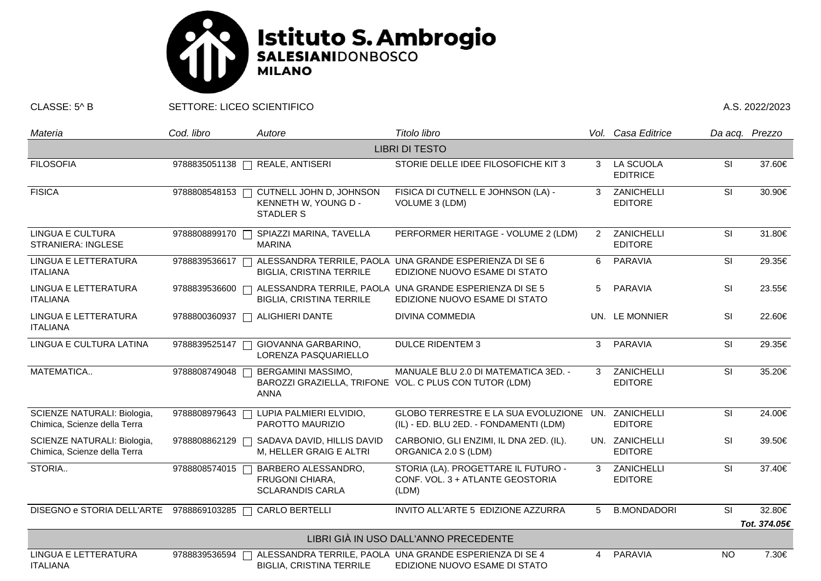

CLASSE: 5^ B SETTORE: LICEO SCIENTIFICO SETTORE: LICEO SCIENTIFICO

| Materia                                                     | Cod. libro    | Autore                                                                   | Titolo libro                                                                                             |                | Vol. Casa Editrice               | Da acq. Prezzo           |              |  |  |  |  |
|-------------------------------------------------------------|---------------|--------------------------------------------------------------------------|----------------------------------------------------------------------------------------------------------|----------------|----------------------------------|--------------------------|--------------|--|--|--|--|
| <b>LIBRI DI TESTO</b>                                       |               |                                                                          |                                                                                                          |                |                                  |                          |              |  |  |  |  |
| <b>FILOSOFIA</b>                                            | 9788835051138 | REALE, ANTISERI                                                          | STORIE DELLE IDEE FILOSOFICHE KIT 3                                                                      | 3              | LA SCUOLA<br><b>EDITRICE</b>     | SI                       | 37.60€       |  |  |  |  |
| <b>FISICA</b>                                               | 9788808548153 | CUTNELL JOHN D, JOHNSON<br>KENNETH W, YOUNG D -<br><b>STADLER S</b>      | FISICA DI CUTNELL E JOHNSON (LA) -<br>VOLUME 3 (LDM)                                                     | 3              | ZANICHELLI<br><b>EDITORE</b>     | SI                       | 30.90€       |  |  |  |  |
| <b>LINGUA E CULTURA</b><br><b>STRANIERA: INGLESE</b>        | 9788808899170 | SPIAZZI MARINA, TAVELLA<br><b>MARINA</b>                                 | PERFORMER HERITAGE - VOLUME 2 (LDM)                                                                      | $\overline{2}$ | ZANICHELLI<br><b>EDITORE</b>     | SI                       | 31.80€       |  |  |  |  |
| LINGUA E LETTERATURA<br><b>ITALIANA</b>                     | 9788839536617 | <b>BIGLIA, CRISTINA TERRILE</b>                                          | ALESSANDRA TERRILE, PAOLA UNA GRANDE ESPERIENZA DI SE 6<br>EDIZIONE NUOVO ESAME DI STATO                 | 6              | PARAVIA                          | SI                       | 29.35€       |  |  |  |  |
| LINGUA E LETTERATURA<br><b>ITALIANA</b>                     |               | <b>BIGLIA, CRISTINA TERRILE</b>                                          | 9788839536600 □ ALESSANDRA TERRILE, PAOLA UNA GRANDE ESPERIENZA DI SE 5<br>EDIZIONE NUOVO ESAME DI STATO | 5              | PARAVIA                          | SI                       | 23.55€       |  |  |  |  |
| LINGUA E LETTERATURA<br><b>ITALIANA</b>                     | 9788800360937 | <b>ALIGHIERI DANTE</b>                                                   | <b>DIVINA COMMEDIA</b>                                                                                   |                | UN. LE MONNIER                   | <b>SI</b>                | 22.60€       |  |  |  |  |
| LINGUA E CULTURA LATINA                                     | 9788839525147 | GIOVANNA GARBARINO,<br>LORENZA PASQUARIELLO                              | <b>DULCE RIDENTEM 3</b>                                                                                  | 3              | PARAVIA                          | SI                       | 29.35€       |  |  |  |  |
| MATEMATICA                                                  | 9788808749048 | BERGAMINI MASSIMO,<br><b>ANNA</b>                                        | MANUALE BLU 2.0 DI MATEMATICA 3ED. -<br>BAROZZI GRAZIELLA, TRIFONE VOL. C PLUS CON TUTOR (LDM)           | 3              | ZANICHELLI<br><b>EDITORE</b>     | $\overline{\mathsf{SI}}$ | 35.20€       |  |  |  |  |
| SCIENZE NATURALI: Biologia,<br>Chimica, Scienze della Terra | 9788808979643 | LUPIA PALMIERI ELVIDIO,<br>PAROTTO MAURIZIO                              | GLOBO TERRESTRE E LA SUA EVOLUZIONE UN. ZANICHELLI<br>(IL) - ED. BLU 2ED. - FONDAMENTI (LDM)             |                | <b>EDITORE</b>                   | SI                       | 24.00€       |  |  |  |  |
| SCIENZE NATURALI: Biologia,<br>Chimica, Scienze della Terra | 9788808862129 | SADAVA DAVID, HILLIS DAVID<br>M, HELLER GRAIG E ALTRI                    | CARBONIO, GLI ENZIMI, IL DNA 2ED. (IL).<br>ORGANICA 2.0 S (LDM)                                          |                | UN. ZANICHELLI<br><b>EDITORE</b> | SI                       | 39.50€       |  |  |  |  |
| STORIA                                                      | 9788808574015 | BARBERO ALESSANDRO,<br><b>FRUGONI CHIARA,</b><br><b>SCLARANDIS CARLA</b> | STORIA (LA). PROGETTARE IL FUTURO -<br>CONF. VOL. 3 + ATLANTE GEOSTORIA<br>(LDM)                         | 3              | ZANICHELLI<br><b>EDITORE</b>     | SI                       | 37.40€       |  |  |  |  |
| DISEGNO e STORIA DELL'ARTE 9788869103285 □                  |               | <b>CARLO BERTELLI</b>                                                    | INVITO ALL'ARTE 5 EDIZIONE AZZURRA                                                                       | 5              | <b>B.MONDADORI</b>               | <b>SI</b>                | 32.80€       |  |  |  |  |
|                                                             |               |                                                                          |                                                                                                          |                |                                  |                          | Tot. 374.05€ |  |  |  |  |
| LIBRI GIÀ IN USO DALL'ANNO PRECEDENTE                       |               |                                                                          |                                                                                                          |                |                                  |                          |              |  |  |  |  |
| LINGUA E LETTERATURA<br><b>ITALIANA</b>                     | 9788839536594 | <b>BIGLIA, CRISTINA TERRILE</b>                                          | ALESSANDRA TERRILE, PAOLA UNA GRANDE ESPERIENZA DI SE 4<br>EDIZIONE NUOVO ESAME DI STATO                 | 4              | <b>PARAVIA</b>                   | <b>NO</b>                | 7.30€        |  |  |  |  |